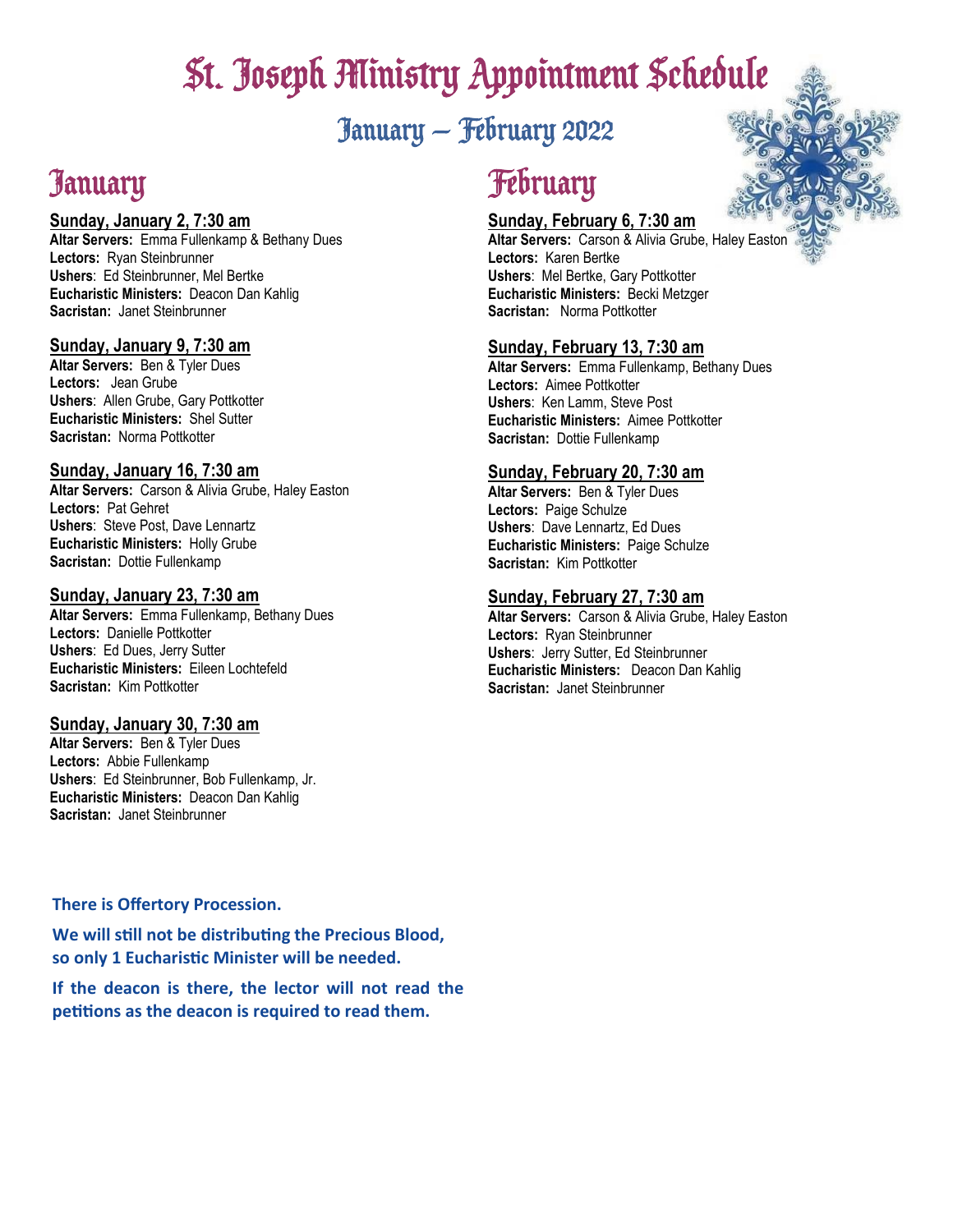# St. Joseph Ministry Appointment Schedule

## January — February 2022

## January

#### **Sunday, January 2, 7:30 am**

**Altar Servers:** Emma Fullenkamp & Bethany Dues **Lectors:** Ryan Steinbrunner **Ushers**: Ed Steinbrunner, Mel Bertke **Eucharistic Ministers:** Deacon Dan Kahlig **Sacristan:** Janet Steinbrunner

#### **Sunday, January 9, 7:30 am**

**Altar Servers:** Ben & Tyler Dues **Lectors:** Jean Grube **Ushers**: Allen Grube, Gary Pottkotter **Eucharistic Ministers:** Shel Sutter **Sacristan:** Norma Pottkotter

#### **Sunday, January 16, 7:30 am**

**Altar Servers:** Carson & Alivia Grube, Haley Easton **Lectors:** Pat Gehret **Ushers**: Steve Post, Dave Lennartz **Eucharistic Ministers:** Holly Grube **Sacristan:** Dottie Fullenkamp

#### **Sunday, January 23, 7:30 am**

**Altar Servers:** Emma Fullenkamp, Bethany Dues **Lectors:** Danielle Pottkotter **Ushers**: Ed Dues, Jerry Sutter **Eucharistic Ministers:** Eileen Lochtefeld **Sacristan:** Kim Pottkotter

#### **Sunday, January 30, 7:30 am**

**Altar Servers:** Ben & Tyler Dues **Lectors:** Abbie Fullenkamp **Ushers**: Ed Steinbrunner, Bob Fullenkamp, Jr. **Eucharistic Ministers:** Deacon Dan Kahlig **Sacristan:** Janet Steinbrunner

# **February**

#### **Sunday, February 6, 7:30 am**

**Altar Servers:** Carson & Alivia Grube, Haley Easton **Lectors:** Karen Bertke **Ushers**: Mel Bertke, Gary Pottkotter **Eucharistic Ministers:** Becki Metzger **Sacristan:** Norma Pottkotter

#### **Sunday, February 13, 7:30 am**

**Altar Servers:** Emma Fullenkamp, Bethany Dues **Lectors:** Aimee Pottkotter **Ushers**: Ken Lamm, Steve Post **Eucharistic Ministers:** Aimee Pottkotter **Sacristan:** Dottie Fullenkamp

#### **Sunday, February 20, 7:30 am**

**Altar Servers:** Ben & Tyler Dues **Lectors:** Paige Schulze **Ushers**: Dave Lennartz, Ed Dues **Eucharistic Ministers:** Paige Schulze **Sacristan:** Kim Pottkotter

#### **Sunday, February 27, 7:30 am**

**Altar Servers:** Carson & Alivia Grube, Haley Easton **Lectors:** Ryan Steinbrunner **Ushers**: Jerry Sutter, Ed Steinbrunner **Eucharistic Ministers:** Deacon Dan Kahlig **Sacristan:** Janet Steinbrunner

#### **There is Offertory Procession.**

**We will still not be distributing the Precious Blood, so only 1 Eucharistic Minister will be needed.**

**If the deacon is there, the lector will not read the petitions as the deacon is required to read them.**